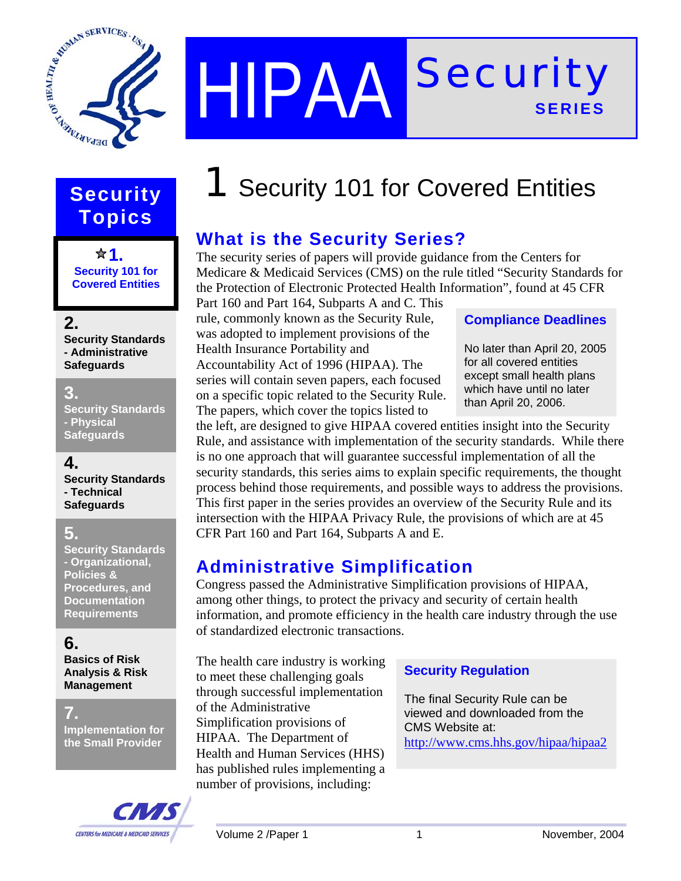

HIPAA<sup>Security</sup> **SERIES** 

# **Topics**

**<del>☆</del>1. Security 101 for Covered Entities** 

#### **2.**

**Security Standards - Administrative Safeguards** 

#### **3.**

**Security Standards - Physical Safeguards**

#### **4.**

**Security Standards - Technical Safeguards**

#### **5.**

**Security Standards - Organizational, Policies & Procedures, and Documentation Requirements** 

#### **6.**

**Basics of Risk Analysis & Risk Management** 

#### **7.**

**Implementation for the Small Provider** 



# **Security 1** Security 101 for Covered Entities

# **What is the Security Series?**

The security series of papers will provide guidance from the Centers for Medicare & Medicaid Services (CMS) on the rule titled "Security Standards for the Protection of Electronic Protected Health Information", found at 45 CFR

Part 160 and Part 164, Subparts A and C. This rule, commonly known as the Security Rule, was adopted to implement provisions of the Health Insurance Portability and Accountability Act of 1996 (HIPAA). The series will contain seven papers, each focused on a specific topic related to the Security Rule. The papers, which cover the topics listed to

#### **Compliance Deadlines**

No later than April 20, 2005 for all covered entities except small health plans which have until no later than April 20, 2006.

the left, are designed to give HIPAA covered entities insight into the Security Rule, and assistance with implementation of the security standards. While there is no one approach that will guarantee successful implementation of all the security standards, this series aims to explain specific requirements, the thought process behind those requirements, and possible ways to address the provisions. This first paper in the series provides an overview of the Security Rule and its intersection with the HIPAA Privacy Rule, the provisions of which are at 45 CFR Part 160 and Part 164, Subparts A and E.

# **Administrative Simplification**

Congress passed the Administrative Simplification provisions of HIPAA, among other things, to protect the privacy and security of certain health information, and promote efficiency in the health care industry through the use of standardized electronic transactions.

The health care industry is working to meet these challenging goals through successful implementation of the Administrative Simplification provisions of HIPAA. The Department of Health and Human Services (HHS) has published rules implementing a number of provisions, including:

#### **Security Regulation**

The final Security Rule can be viewed and downloaded from the CMS Website at: http://www.cms.hhs.gov/hipaa/hipaa2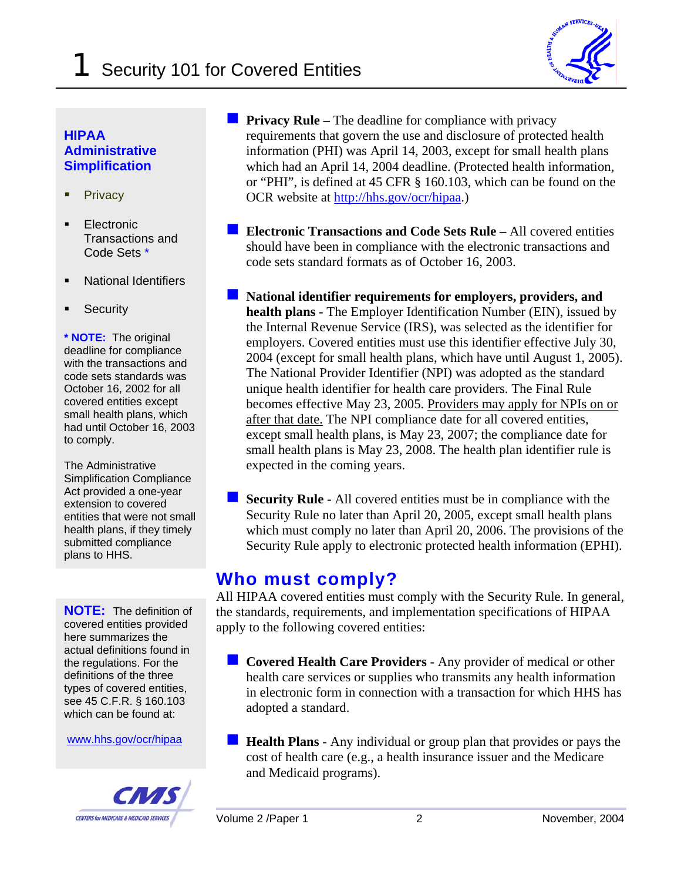

#### **HIPAA Administrative Simplification**

- **Privacy**
- Electronic Transactions and Code Sets \*
- National Identifiers
- **Security**

**\* NOTE:** The original deadline for compliance with the transactions and code sets standards was October 16, 2002 for all covered entities except small health plans, which had until October 16, 2003 to comply.

The Administrative Simplification Compliance Act provided a one-year extension to covered entities that were not small health plans, if they timely submitted compliance plans to HHS.

**NOTE:** The definition of covered entities provided here summarizes the actual definitions found in the regulations. For the definitions of the three types of covered entities, see 45 C.F.R. § 160.103 which can be found at:

www.hhs.gov/ocr/hipaa



**Privacy Rule – The deadline for compliance with privacy** requirements that govern the use and disclosure of protected health information (PHI) was April 14, 2003, except for small health plans which had an April 14, 2004 deadline. (Protected health information, or "PHI", is defined at 45 CFR § 160.103, which can be found on the OCR website at http://hhs.gov/ocr/hipaa.)

- **Electronic Transactions and Code Sets Rule –** All covered entities should have been in compliance with the electronic transactions and code sets standard formats as of October 16, 2003.
- **National identifier requirements for employers, providers, and health plans -** The Employer Identification Number (EIN), issued by the Internal Revenue Service (IRS), was selected as the identifier for employers. Covered entities must use this identifier effective July 30, 2004 (except for small health plans, which have until August 1, 2005). The National Provider Identifier (NPI) was adopted as the standard unique health identifier for health care providers. The Final Rule becomes effective May 23, 2005. Providers may apply for NPIs on or after that date. The NPI compliance date for all covered entities, except small health plans, is May 23, 2007; the compliance date for small health plans is May 23, 2008. The health plan identifier rule is expected in the coming years.
- **Security Rule -** All covered entities must be in compliance with the Security Rule no later than April 20, 2005, except small health plans which must comply no later than April 20, 2006. The provisions of the Security Rule apply to electronic protected health information (EPHI).

# **Who must comply?**

All HIPAA covered entities must comply with the Security Rule. In general, the standards, requirements, and implementation specifications of HIPAA apply to the following covered entities:

- **Covered Health Care Providers -** Any provider of medical or other health care services or supplies who transmits any health information in electronic form in connection with a transaction for which HHS has adopted a standard.
- **Health Plans** Any individual or group plan that provides or pays the cost of health care (e.g., a health insurance issuer and the Medicare and Medicaid programs).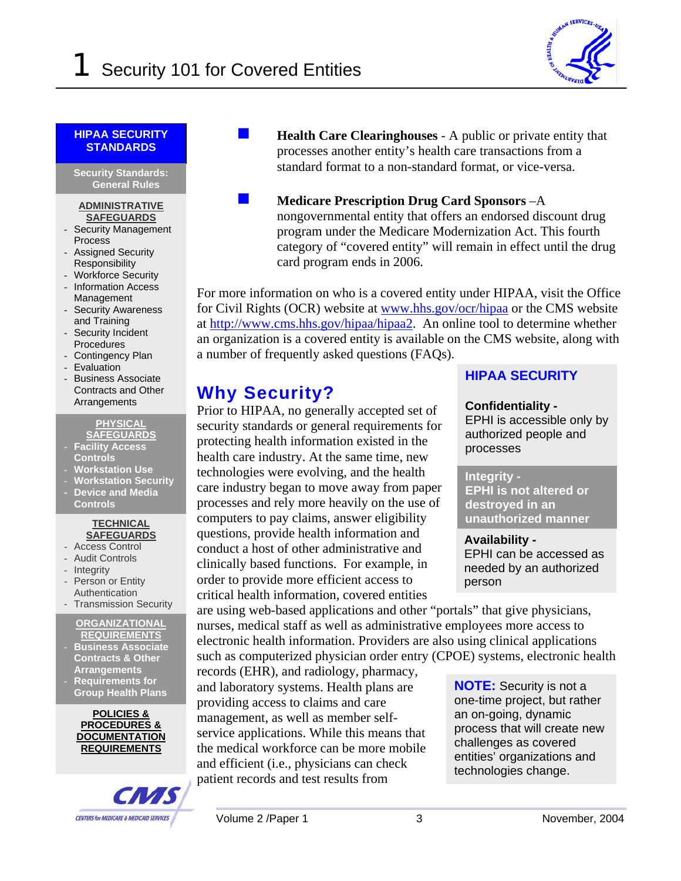

#### **HIPAA SECURITY STANDARDS**

l **Security Standards: General Rules** 

#### **ADMINISTRATIVE SAFEGUARDS**

- Security Management Process
- Assigned Security Responsibility
- Workforce Security
- Information Access Management
- Security Awareness and Training
- Security Incident **Procedures**
- Contingency Plan
- Evaluation
- Business Associate Contracts and Other Arrangements

**PHYSICAL SAFEGUARDS**

- **Facility Access Controls**
- **Workstation Use**
- **Workstation Security**
- **Device and Media Controls**

#### **TECHNICAL SAFEGUARDS**

- Access Control
- Audit Controls
- Integrity
- Person or Entity
- Authentication - Transmission Security

### **ORGANIZATIONAL**

- **REQUIREMENTS** - **Business Associate Contracts & Other Arrangements**
- **Requirements for Group Health Plans**

**POLICIES & PROCEDURES & DOCUMENTATION REQUIREMENTS**



- **Health Care Clearinghouses** A public or private entity that processes another entity's health care transactions from a standard format to a non-standard format, or vice-versa.
	- **Medicare Prescription Drug Card Sponsors** –A nongovernmental entity that offers an endorsed discount drug program under the Medicare Modernization Act. This fourth category of "covered entity" will remain in effect until the drug card program ends in 2006.

For more information on who is a covered entity under HIPAA, visit the Office for Civil Rights (OCR) website at www.hhs.gov/ocr/hipaa or the CMS website at http://www.cms.hhs.gov/hipaa/hipaa2. An online tool to determine whether an organization is a covered entity is available on the CMS website, along with a number of frequently asked questions (FAQs).

# **Why Security?**

Prior to HIPAA, no generally accepted set of security standards or general requirements for protecting health information existed in the health care industry. At the same time, new technologies were evolving, and the health care industry began to move away from paper processes and rely more heavily on the use of computers to pay claims, answer eligibility questions, provide health information and conduct a host of other administrative and clinically based functions. For example, in order to provide more efficient access to critical health information, covered entities

are using web-based applications and other "portals" that give physicians, nurses, medical staff as well as administrative employees more access to electronic health information. Providers are also using clinical applications such as computerized physician order entry (CPOE) systems, electronic health

records (EHR), and radiology, pharmacy, and laboratory systems. Health plans are providing access to claims and care management, as well as member selfservice applications. While this means that the medical workforce can be more mobile and efficient (i.e., physicians can check patient records and test results from

#### **HIPAA SECURITY**

#### **Confidentiality -**

EPHI is accessible only by authorized people and processes

#### **Integrity -**

**EPHI is not altered or destroyed in an unauthorized manner**

**Availability -**  EPHI can be accessed as needed by an authorized person

**NOTE:** Security is not a one-time project, but rather an on-going, dynamic process that will create new challenges as covered entities' organizations and technologies change.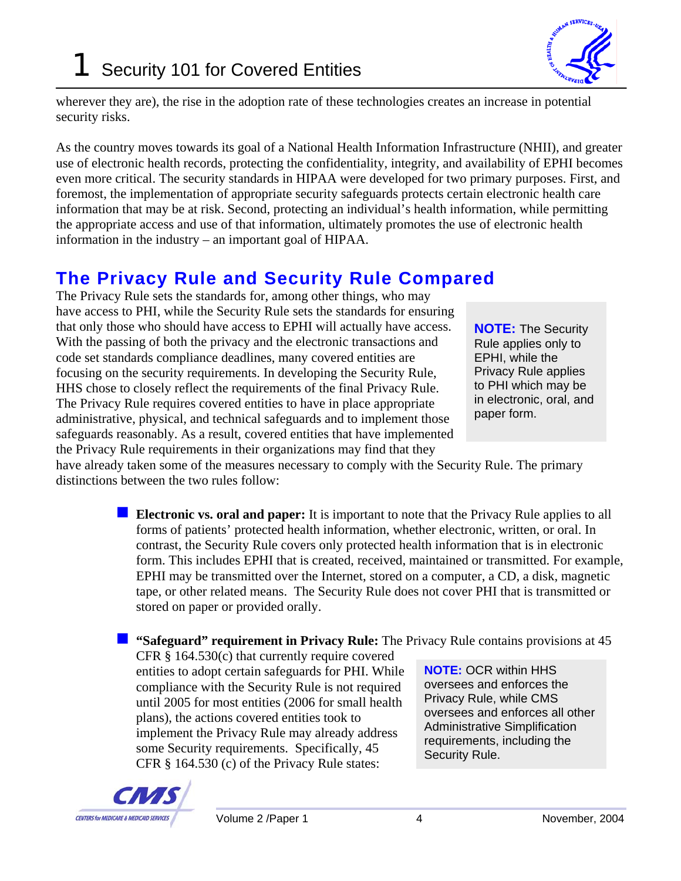

wherever they are), the rise in the adoption rate of these technologies creates an increase in potential security risks.

As the country moves towards its goal of a National Health Information Infrastructure (NHII), and greater use of electronic health records, protecting the confidentiality, integrity, and availability of EPHI becomes even more critical. The security standards in HIPAA were developed for two primary purposes. First, and foremost, the implementation of appropriate security safeguards protects certain electronic health care information that may be at risk. Second, protecting an individual's health information, while permitting the appropriate access and use of that information, ultimately promotes the use of electronic health information in the industry – an important goal of HIPAA.

# **The Privacy Rule and Security Rule Compared**

The Privacy Rule sets the standards for, among other things, who may have access to PHI, while the Security Rule sets the standards for ensuring that only those who should have access to EPHI will actually have access. With the passing of both the privacy and the electronic transactions and code set standards compliance deadlines, many covered entities are focusing on the security requirements. In developing the Security Rule, HHS chose to closely reflect the requirements of the final Privacy Rule. The Privacy Rule requires covered entities to have in place appropriate administrative, physical, and technical safeguards and to implement those safeguards reasonably. As a result, covered entities that have implemented the Privacy Rule requirements in their organizations may find that they

**NOTE:** The Security Rule applies only to EPHI, while the Privacy Rule applies to PHI which may be in electronic, oral, and paper form.

have already taken some of the measures necessary to comply with the Security Rule. The primary distinctions between the two rules follow:

> **Electronic vs. oral and paper:** It is important to note that the Privacy Rule applies to all forms of patients' protected health information, whether electronic, written, or oral. In contrast, the Security Rule covers only protected health information that is in electronic form. This includes EPHI that is created, received, maintained or transmitted. For example, EPHI may be transmitted over the Internet, stored on a computer, a CD, a disk, magnetic tape, or other related means. The Security Rule does not cover PHI that is transmitted or stored on paper or provided orally.

#### **"** "Safeguard" requirement in Privacy Rule: The Privacy Rule contains provisions at 45

CFR § 164.530(c) that currently require covered entities to adopt certain safeguards for PHI. While compliance with the Security Rule is not required until 2005 for most entities (2006 for small health plans), the actions covered entities took to implement the Privacy Rule may already address some Security requirements. Specifically, 45 CFR § 164.530 (c) of the Privacy Rule states:

**NOTE:** OCR within HHS oversees and enforces the Privacy Rule, while CMS oversees and enforces all other Administrative Simplification requirements, including the Security Rule.

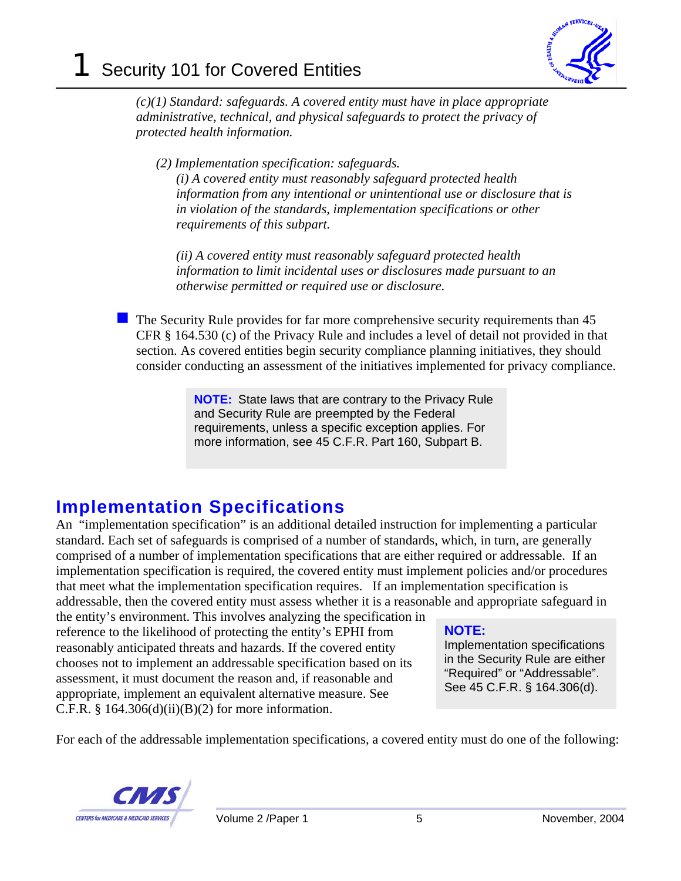

*(c)(1) Standard: safeguards. A covered entity must have in place appropriate administrative, technical, and physical safeguards to protect the privacy of protected health information.* 

*(2) Implementation specification: safeguards.* 

*(i) A covered entity must reasonably safeguard protected health information from any intentional or unintentional use or disclosure that is in violation of the standards, implementation specifications or other requirements of this subpart.* 

*(ii) A covered entity must reasonably safeguard protected health information to limit incidental uses or disclosures made pursuant to an otherwise permitted or required use or disclosure.* 

 The Security Rule provides for far more comprehensive security requirements than 45 CFR § 164.530 (c) of the Privacy Rule and includes a level of detail not provided in that section. As covered entities begin security compliance planning initiatives, they should consider conducting an assessment of the initiatives implemented for privacy compliance.

> **NOTE:** State laws that are contrary to the Privacy Rule and Security Rule are preempted by the Federal requirements, unless a specific exception applies. For more information, see 45 C.F.R. Part 160, Subpart B.

# **Implementation Specifications**

An "implementation specification" is an additional detailed instruction for implementing a particular standard. Each set of safeguards is comprised of a number of standards, which, in turn, are generally comprised of a number of implementation specifications that are either required or addressable. If an implementation specification is required, the covered entity must implement policies and/or procedures that meet what the implementation specification requires. If an implementation specification is addressable, then the covered entity must assess whether it is a reasonable and appropriate safeguard in

the entity's environment. This involves analyzing the specification in reference to the likelihood of protecting the entity's EPHI from reasonably anticipated threats and hazards. If the covered entity chooses not to implement an addressable specification based on its assessment, it must document the reason and, if reasonable and appropriate, implement an equivalent alternative measure. See C.F.R.  $§$  164.306(d)(ii)(B)(2) for more information.

#### **NOTE:**

Implementation specifications in the Security Rule are either "Required" or "Addressable". See 45 C.F.R. § 164.306(d).

For each of the addressable implementation specifications, a covered entity must do one of the following:

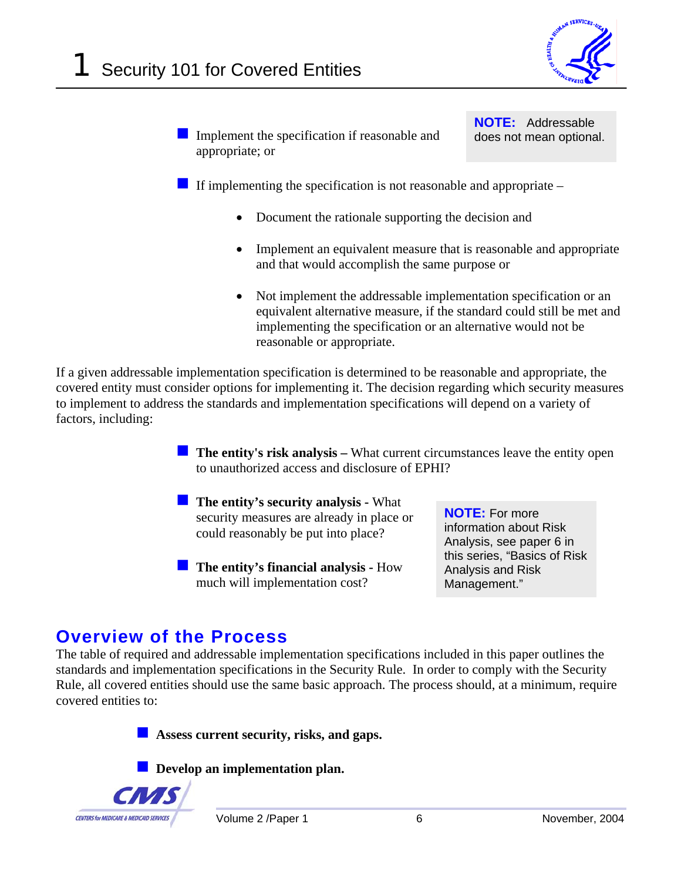

Implement the specification if reasonable and appropriate; or

**NOTE:** Addressable does not mean optional.

If implementing the specification is not reasonable and appropriate  $-$ 

- Document the rationale supporting the decision and
- Implement an equivalent measure that is reasonable and appropriate and that would accomplish the same purpose or
- Not implement the addressable implementation specification or an equivalent alternative measure, if the standard could still be met and implementing the specification or an alternative would not be reasonable or appropriate.

If a given addressable implementation specification is determined to be reasonable and appropriate, the covered entity must consider options for implementing it. The decision regarding which security measures to implement to address the standards and implementation specifications will depend on a variety of factors, including:

> **The entity's risk analysis –** What current circumstances leave the entity open to unauthorized access and disclosure of EPHI?

- **The entity's security analysis What** security measures are already in place or could reasonably be put into place?
- **The entity's financial analysis How** much will implementation cost?

**NOTE:** For more information about Risk Analysis, see paper 6 in this series, "Basics of Risk Analysis and Risk Management."

### **Overview of the Process**

The table of required and addressable implementation specifications included in this paper outlines the standards and implementation specifications in the Security Rule. In order to comply with the Security Rule, all covered entities should use the same basic approach. The process should, at a minimum, require covered entities to:

**Assess current security, risks, and gaps.** 

**Develop an implementation plan.** 

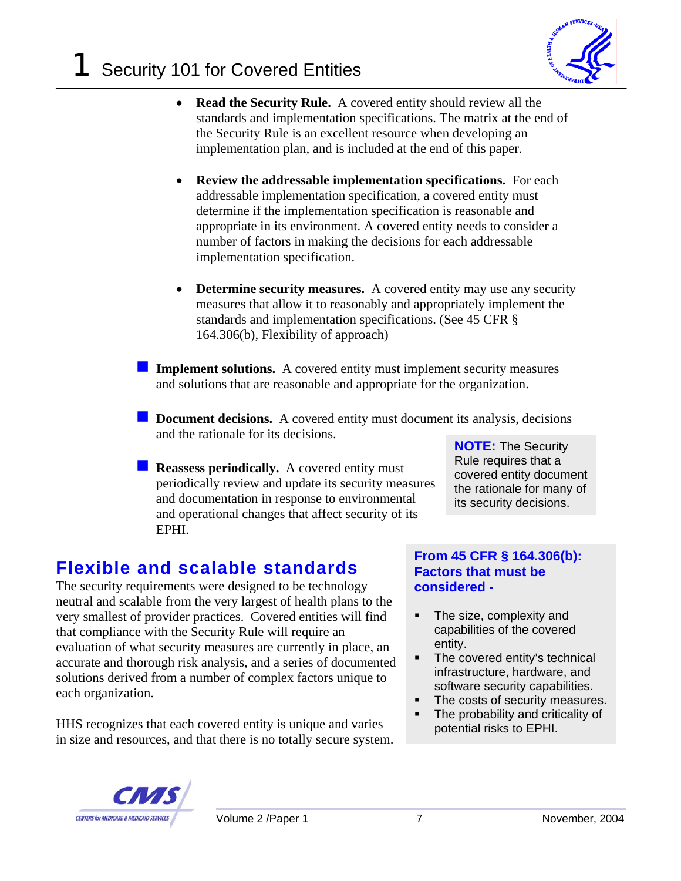

- **Read the Security Rule.** A covered entity should review all the standards and implementation specifications. The matrix at the end of the Security Rule is an excellent resource when developing an implementation plan, and is included at the end of this paper.
- **Review the addressable implementation specifications.** For each addressable implementation specification, a covered entity must determine if the implementation specification is reasonable and appropriate in its environment. A covered entity needs to consider a number of factors in making the decisions for each addressable implementation specification.
- **Determine security measures.** A covered entity may use any security measures that allow it to reasonably and appropriately implement the standards and implementation specifications. (See 45 CFR § 164.306(b), Flexibility of approach)
- **Implement solutions.** A covered entity must implement security measures and solutions that are reasonable and appropriate for the organization.
- **Document decisions.** A covered entity must document its analysis, decisions and the rationale for its decisions.
	- **Reassess periodically.** A covered entity must periodically review and update its security measures and documentation in response to environmental and operational changes that affect security of its EPHI.

**NOTE:** The Security Rule requires that a covered entity document the rationale for many of its security decisions.

# **Flexible and scalable standards**

The security requirements were designed to be technology neutral and scalable from the very largest of health plans to the very smallest of provider practices. Covered entities will find that compliance with the Security Rule will require an evaluation of what security measures are currently in place, an accurate and thorough risk analysis, and a series of documented solutions derived from a number of complex factors unique to each organization.

HHS recognizes that each covered entity is unique and varies in size and resources, and that there is no totally secure system.

#### **From 45 CFR § 164.306(b): Factors that must be considered -**

- The size, complexity and capabilities of the covered entity.
- The covered entity's technical infrastructure, hardware, and software security capabilities.
- The costs of security measures.
- The probability and criticality of potential risks to EPHI.

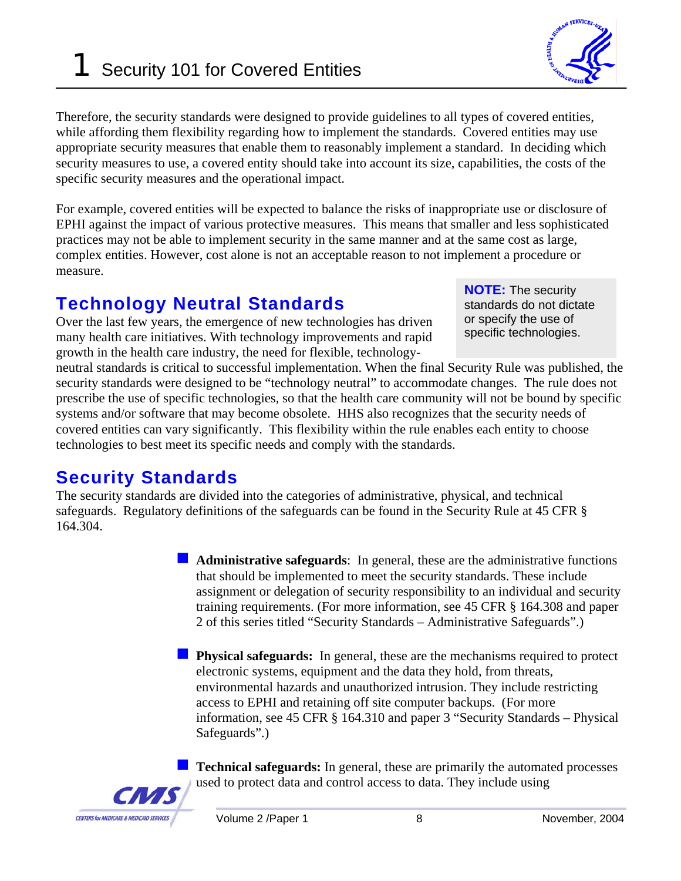# **1** Security 101 for Covered Entities

Therefore, the security standards were designed to provide guidelines to all types of covered entities, while affording them flexibility regarding how to implement the standards. Covered entities may use appropriate security measures that enable them to reasonably implement a standard. In deciding which security measures to use, a covered entity should take into account its size, capabilities, the costs of the specific security measures and the operational impact.

For example, covered entities will be expected to balance the risks of inappropriate use or disclosure of EPHI against the impact of various protective measures. This means that smaller and less sophisticated practices may not be able to implement security in the same manner and at the same cost as large, complex entities. However, cost alone is not an acceptable reason to not implement a procedure or measure.

# **Technology Neutral Standards**

Over the last few years, the emergence of new technologies has driven many health care initiatives. With technology improvements and rapid growth in the health care industry, the need for flexible, technology-

neutral standards is critical to successful implementation. When the final Security Rule was published, the security standards were designed to be "technology neutral" to accommodate changes. The rule does not prescribe the use of specific technologies, so that the health care community will not be bound by specific systems and/or software that may become obsolete. HHS also recognizes that the security needs of covered entities can vary significantly. This flexibility within the rule enables each entity to choose technologies to best meet its specific needs and comply with the standards.

# **Security Standards**

The security standards are divided into the categories of administrative, physical, and technical safeguards. Regulatory definitions of the safeguards can be found in the Security Rule at 45 CFR § 164.304.

> **Administrative safeguards**: In general, these are the administrative functions that should be implemented to meet the security standards. These include assignment or delegation of security responsibility to an individual and security training requirements. (For more information, see 45 CFR § 164.308 and paper 2 of this series titled "Security Standards – Administrative Safeguards".)

> **Physical safeguards:** In general, these are the mechanisms required to protect electronic systems, equipment and the data they hold, from threats, environmental hazards and unauthorized intrusion. They include restricting access to EPHI and retaining off site computer backups. (For more information, see 45 CFR § 164.310 and paper 3 "Security Standards – Physical Safeguards".)

> **Technical safeguards:** In general, these are primarily the automated processes used to protect data and control access to data. They include using





**NOTE:** The security standards do not dictate or specify the use of specific technologies.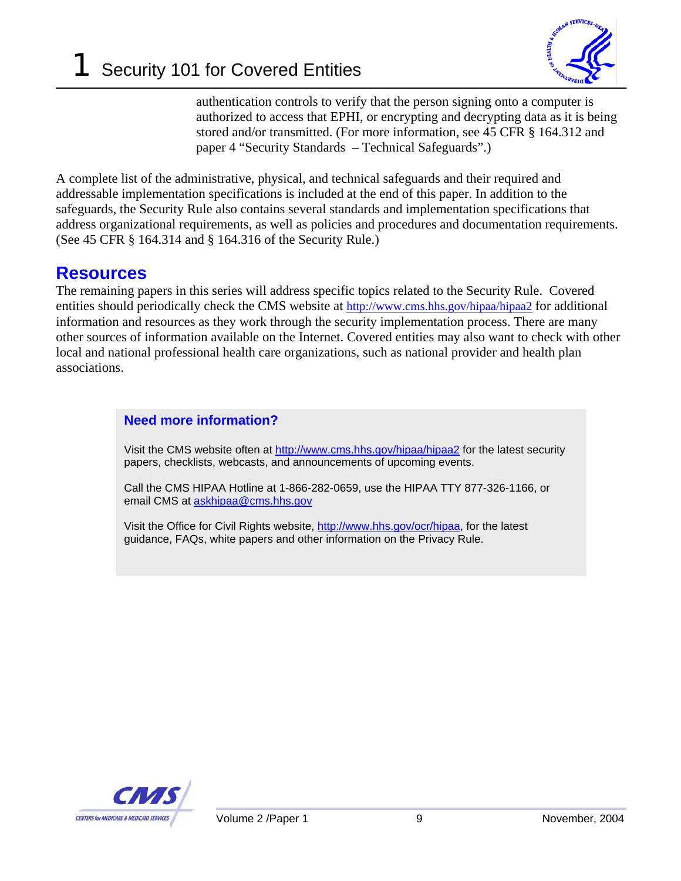

authentication controls to verify that the person signing onto a computer is authorized to access that EPHI, or encrypting and decrypting data as it is being stored and/or transmitted. (For more information, see 45 CFR § 164.312 and paper 4 "Security Standards – Technical Safeguards".)

A complete list of the administrative, physical, and technical safeguards and their required and addressable implementation specifications is included at the end of this paper. In addition to the safeguards, the Security Rule also contains several standards and implementation specifications that address organizational requirements, as well as policies and procedures and documentation requirements. (See 45 CFR § 164.314 and § 164.316 of the Security Rule.)

### **Resources**

The remaining papers in this series will address specific topics related to the Security Rule. Covered entities should periodically check the CMS website at http://www.cms.hhs.gov/hipaa/hipaa2 for additional information and resources as they work through the security implementation process. There are many other sources of information available on the Internet. Covered entities may also want to check with other local and national professional health care organizations, such as national provider and health plan associations.

#### **Need more information?**

Visit the CMS website often at http://www.cms.hhs.gov/hipaa/hipaa2 for the latest security papers, checklists, webcasts, and announcements of upcoming events.

Call the CMS HIPAA Hotline at 1-866-282-0659, use the HIPAA TTY 877-326-1166, or email CMS at askhipaa@cms.hhs.gov

Visit the Office for Civil Rights website, http://www.hhs.gov/ocr/hipaa, for the latest guidance, FAQs, white papers and other information on the Privacy Rule.

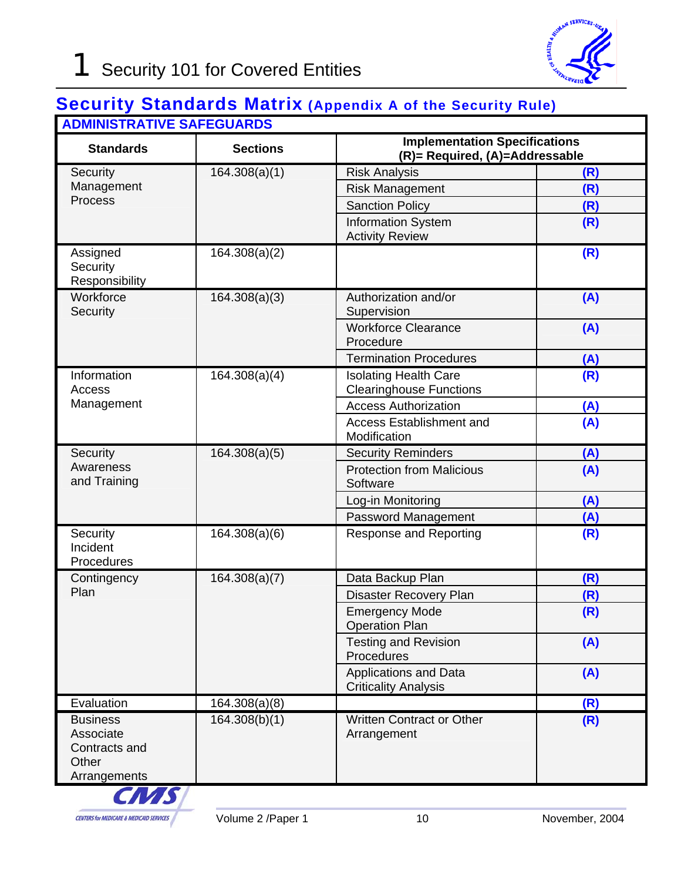### **Security Standards Matrix (Appendix A of the Security Rule) ADMINISTRATIVE SAFEGUARDS**

| ADIVIIND HATHYE OAI EGOANDO<br><b>Standards</b>                        | <b>Sections</b>            | <b>Implementation Specifications</b><br>(R)= Required, (A)=Addressable |     |
|------------------------------------------------------------------------|----------------------------|------------------------------------------------------------------------|-----|
| Security                                                               | $\overline{16}4.308(a)(1)$ | <b>Risk Analysis</b>                                                   | (R) |
| Management<br>Process                                                  |                            | <b>Risk Management</b>                                                 | (R) |
|                                                                        |                            | <b>Sanction Policy</b>                                                 | (R) |
|                                                                        |                            | <b>Information System</b><br><b>Activity Review</b>                    | (R) |
| Assigned<br>Security<br>Responsibility                                 | 164.308(a)(2)              |                                                                        | (R) |
| Workforce<br>Security                                                  | 164.308(a)(3)              | Authorization and/or<br>Supervision                                    | (A) |
|                                                                        |                            | <b>Workforce Clearance</b><br>Procedure                                | (A) |
|                                                                        |                            | <b>Termination Procedures</b>                                          | (A) |
| Information<br>Access<br>Management                                    | 164.308(a)(4)              | <b>Isolating Health Care</b><br><b>Clearinghouse Functions</b>         | (R) |
|                                                                        |                            | <b>Access Authorization</b>                                            | (A) |
|                                                                        |                            | <b>Access Establishment and</b><br>Modification                        | (A) |
| Security                                                               | 164.308(a)(5)              | <b>Security Reminders</b>                                              | (A) |
| Awareness<br>and Training                                              |                            | <b>Protection from Malicious</b><br>Software                           | (A) |
|                                                                        |                            | Log-in Monitoring                                                      | (A) |
|                                                                        |                            | Password Management                                                    | (A) |
| Security<br>Incident<br>Procedures                                     | 164.308(a)(6)              | <b>Response and Reporting</b>                                          | (R) |
| Contingency<br>Plan                                                    | 164.308(a)(7)              | Data Backup Plan                                                       | (R) |
|                                                                        |                            | <b>Disaster Recovery Plan</b>                                          | (R) |
|                                                                        |                            | <b>Emergency Mode</b><br><b>Operation Plan</b>                         | (R) |
|                                                                        |                            | <b>Testing and Revision</b><br>Procedures                              | (A) |
|                                                                        |                            | <b>Applications and Data</b><br><b>Criticality Analysis</b>            | (A) |
| Evaluation                                                             | 164.308(a)(8)              |                                                                        | (R) |
| <b>Business</b><br>Associate<br>Contracts and<br>Other<br>Arrangements | 164.308(b)(1)              | <b>Written Contract or Other</b><br>Arrangement                        | (R) |